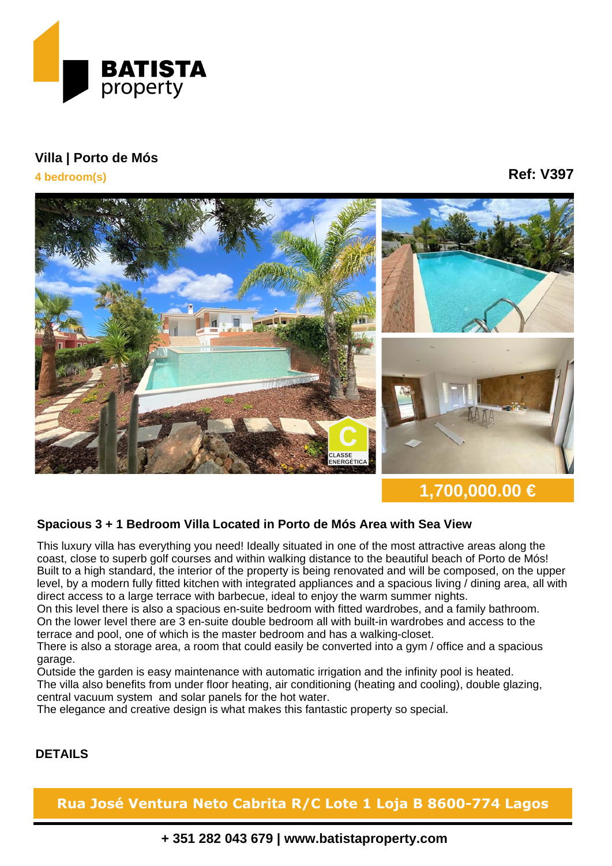

## **Villa | Porto de Mós**

**4 bedroom(s)**

**Ref: V397**



**1,700,000.00 €**

## **Spacious 3 + 1 Bedroom Villa Located in Porto de Mós Area with Sea View**

This luxury villa has everything you need! Ideally situated in one of the most attractive areas along the coast, close to superb golf courses and within walking distance to the beautiful beach of Porto de Mós! Built to a high standard, the interior of the property is being renovated and will be composed, on the upper level, by a modern fully fitted kitchen with integrated appliances and a spacious living / dining area, all with direct access to a large terrace with barbecue, ideal to enjoy the warm summer nights.

On this level there is also a spacious en-suite bedroom with fitted wardrobes, and a family bathroom. On the lower level there are 3 en-suite double bedroom all with built-in wardrobes and access to the terrace and pool, one of which is the master bedroom and has a walking-closet.

There is also a storage area, a room that could easily be converted into a gym / office and a spacious garage.

Outside the garden is easy maintenance with automatic irrigation and the infinity pool is heated. The villa also benefits from under floor heating, air conditioning (heating and cooling), double glazing, central vacuum system and solar panels for the hot water.

The elegance and creative design is what makes this fantastic property so special.

## **DETAILS**

**Rua José Ventura Neto Cabrita R/C Lote 1 Loja B 8600-774 Lagos**

**+ 351 282 043 679 | www.batistaproperty.com**